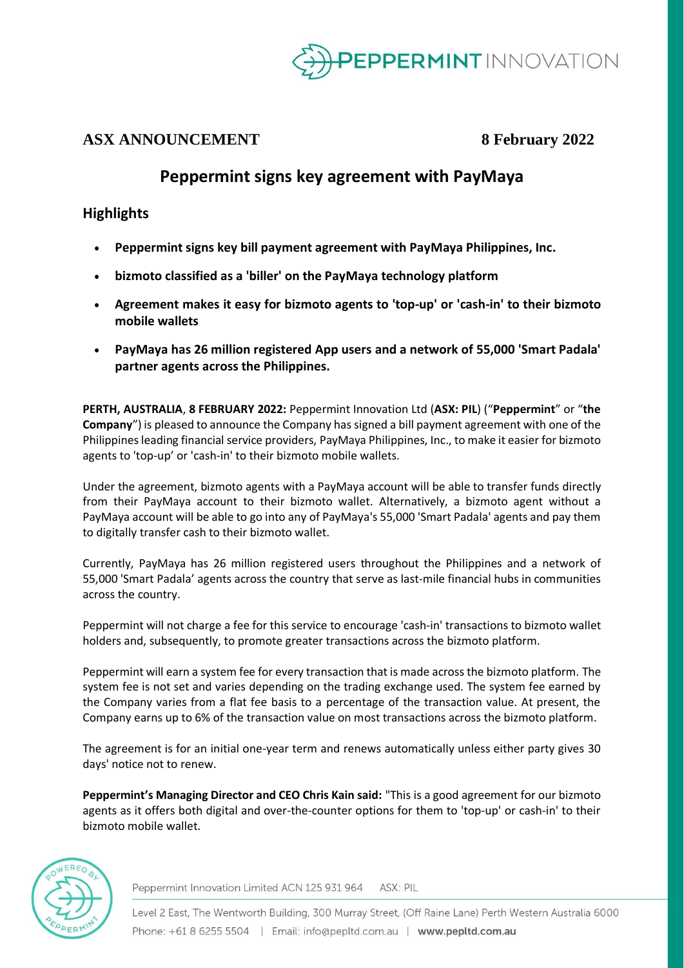

## **ASX ANNOUNCEMENT 8 February 2022**

# **Peppermint signs key agreement with PayMaya**

### **Highlights**

- **Peppermint signs key bill payment agreement with PayMaya Philippines, Inc.**
- **bizmoto classified as a 'biller' on the PayMaya technology platform**
- **Agreement makes it easy for bizmoto agents to 'top-up' or 'cash-in' to their bizmoto mobile wallets**
- **PayMaya has 26 million registered App users and a network of 55,000 'Smart Padala' partner agents across the Philippines.**

**PERTH, AUSTRALIA**, **8 FEBRUARY 2022:** Peppermint Innovation Ltd (**ASX: PIL**) ("**Peppermint**" or "**the Company**") is pleased to announce the Company has signed a bill payment agreement with one of the Philippines leading financial service providers, PayMaya Philippines, Inc., to make it easier for bizmoto agents to 'top-up' or 'cash-in' to their bizmoto mobile wallets.

Under the agreement, bizmoto agents with a PayMaya account will be able to transfer funds directly from their PayMaya account to their bizmoto wallet. Alternatively, a bizmoto agent without a PayMaya account will be able to go into any of PayMaya's 55,000 'Smart Padala' agents and pay them to digitally transfer cash to their bizmoto wallet.

Currently, PayMaya has 26 million registered users throughout the Philippines and a network of 55,000 'Smart Padala' agents across the country that serve as last-mile financial hubs in communities across the country.

Peppermint will not charge a fee for this service to encourage 'cash-in' transactions to bizmoto wallet holders and, subsequently, to promote greater transactions across the bizmoto platform.

Peppermint will earn a system fee for every transaction that is made across the bizmoto platform. The system fee is not set and varies depending on the trading exchange used. The system fee earned by the Company varies from a flat fee basis to a percentage of the transaction value. At present, the Company earns up to 6% of the transaction value on most transactions across the bizmoto platform.

The agreement is for an initial one-year term and renews automatically unless either party gives 30 days' notice not to renew.

**Peppermint's Managing Director and CEO Chris Kain said:** "This is a good agreement for our bizmoto agents as it offers both digital and over-the-counter options for them to 'top-up' or cash-in' to their bizmoto mobile wallet.



Peppermint Innovation Limited ACN 125 931 964 ASX: PIL

Level 2 East, The Wentworth Building, 300 Murray Street, (Off Raine Lane) Perth Western Australia 6000 Phone: +61 8 6255 5504 | Email: info@pepltd.com.au | www.pepltd.com.au